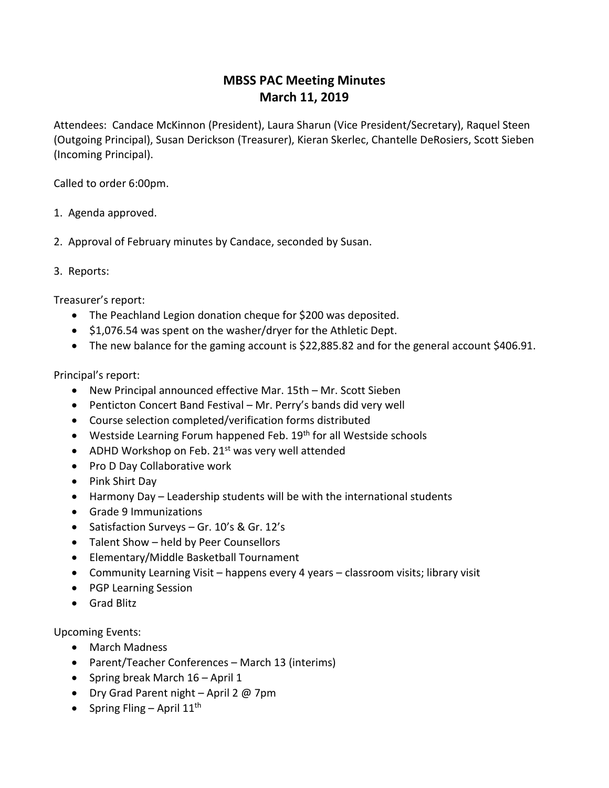## **MBSS PAC Meeting Minutes March 11, 2019**

Attendees: Candace McKinnon (President), Laura Sharun (Vice President/Secretary), Raquel Steen (Outgoing Principal), Susan Derickson (Treasurer), Kieran Skerlec, Chantelle DeRosiers, Scott Sieben (Incoming Principal).

Called to order 6:00pm.

- 1. Agenda approved.
- 2. Approval of February minutes by Candace, seconded by Susan.
- 3. Reports:

Treasurer's report:

- The Peachland Legion donation cheque for \$200 was deposited.
- \$1,076.54 was spent on the washer/dryer for the Athletic Dept.
- The new balance for the gaming account is \$22,885.82 and for the general account \$406.91.

## Principal's report:

- New Principal announced effective Mar. 15th Mr. Scott Sieben
- Penticton Concert Band Festival Mr. Perry's bands did very well
- Course selection completed/verification forms distributed
- Westside Learning Forum happened Feb. 19<sup>th</sup> for all Westside schools
- ADHD Workshop on Feb. 21 $st$  was very well attended
- Pro D Day Collaborative work
- Pink Shirt Day
- Harmony Day Leadership students will be with the international students
- Grade 9 Immunizations
- Satisfaction Surveys Gr. 10's & Gr. 12's
- Talent Show held by Peer Counsellors
- Elementary/Middle Basketball Tournament
- Community Learning Visit happens every 4 years classroom visits; library visit
- PGP Learning Session
- Grad Blitz

Upcoming Events:

- March Madness
- Parent/Teacher Conferences March 13 (interims)
- Spring break March 16 April 1
- Dry Grad Parent night April 2 @ 7pm
- Spring Fling April  $11<sup>th</sup>$